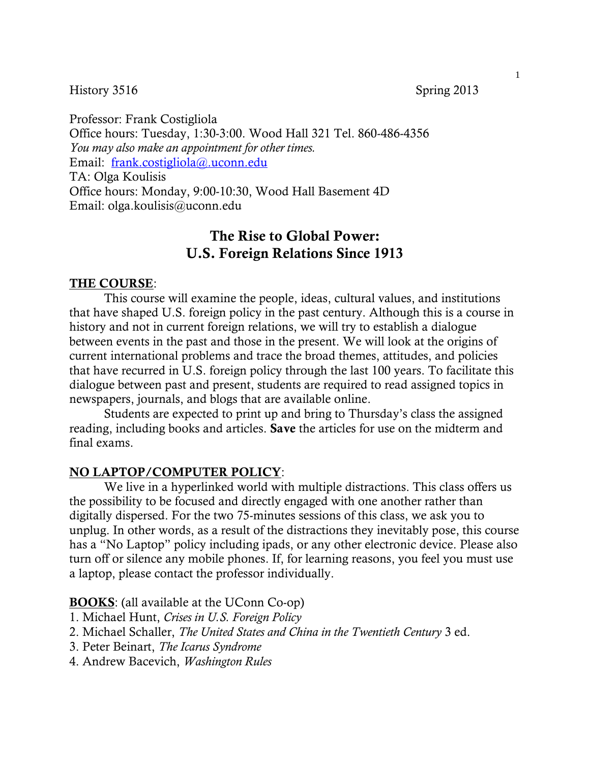History 3516 Spring 2013

Professor: Frank Costigliola Office hours: Tuesday, 1:30-3:00. Wood Hall 321 Tel. 860-486-4356 *You may also make an appointment for other times.* Email: frank.costigliola@.uconn.edu TA: Olga Koulisis Office hours: Monday, 9:00-10:30, Wood Hall Basement 4D Email: olga.koulisis@uconn.edu

# The Rise to Global Power: U.S. Foreign Relations Since 1913

### THE COURSE:

This course will examine the people, ideas, cultural values, and institutions that have shaped U.S. foreign policy in the past century. Although this is a course in history and not in current foreign relations, we will try to establish a dialogue between events in the past and those in the present. We will look at the origins of current international problems and trace the broad themes, attitudes, and policies that have recurred in U.S. foreign policy through the last 100 years. To facilitate this dialogue between past and present, students are required to read assigned topics in newspapers, journals, and blogs that are available online.

Students are expected to print up and bring to Thursday's class the assigned reading, including books and articles. Save the articles for use on the midterm and final exams.

#### NO LAPTOP/COMPUTER POLICY:

We live in a hyperlinked world with multiple distractions. This class offers us the possibility to be focused and directly engaged with one another rather than digitally dispersed. For the two 75-minutes sessions of this class, we ask you to unplug. In other words, as a result of the distractions they inevitably pose, this course has a "No Laptop" policy including ipads, or any other electronic device. Please also turn off or silence any mobile phones. If, for learning reasons, you feel you must use a laptop, please contact the professor individually.

#### **BOOKS**: (all available at the UConn Co-op)

- 1. Michael Hunt, *Crises in U.S. Foreign Policy*
- 2. Michael Schaller, *The United States and China in the Twentieth Century* 3 ed.
- 3. Peter Beinart, *The Icarus Syndrome*
- 4. Andrew Bacevich, *Washington Rules*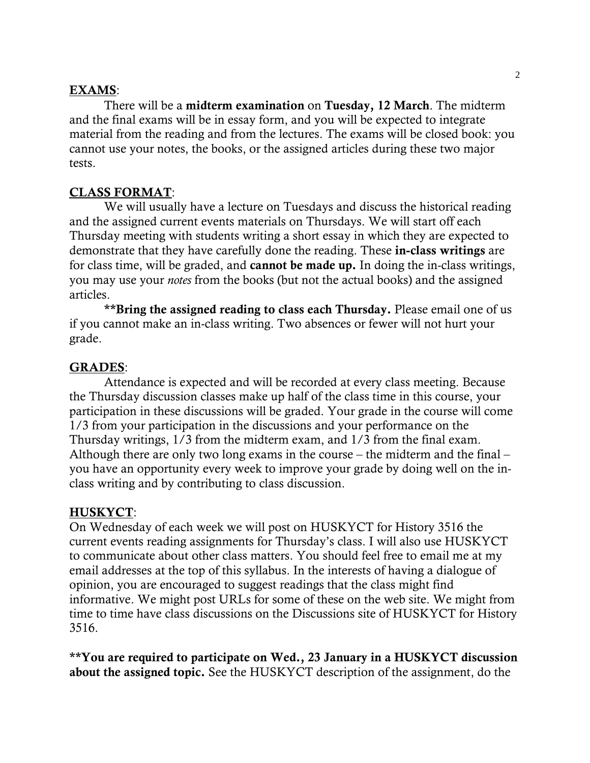### EXAMS:

There will be a **midterm examination** on Tuesday, 12 March. The midterm and the final exams will be in essay form, and you will be expected to integrate material from the reading and from the lectures. The exams will be closed book: you cannot use your notes, the books, or the assigned articles during these two major tests.

# CLASS FORMAT:

We will usually have a lecture on Tuesdays and discuss the historical reading and the assigned current events materials on Thursdays. We will start off each Thursday meeting with students writing a short essay in which they are expected to demonstrate that they have carefully done the reading. These in-class writings are for class time, will be graded, and cannot be made up. In doing the in-class writings, you may use your *notes* from the books (but not the actual books) and the assigned articles.

\*\*Bring the assigned reading to class each Thursday. Please email one of us if you cannot make an in-class writing. Two absences or fewer will not hurt your grade.

# GRADES:

Attendance is expected and will be recorded at every class meeting. Because the Thursday discussion classes make up half of the class time in this course, your participation in these discussions will be graded. Your grade in the course will come 1/3 from your participation in the discussions and your performance on the Thursday writings, 1/3 from the midterm exam, and 1/3 from the final exam. Although there are only two long exams in the course – the midterm and the final – you have an opportunity every week to improve your grade by doing well on the inclass writing and by contributing to class discussion.

### HUSKYCT:

On Wednesday of each week we will post on HUSKYCT for History 3516 the current events reading assignments for Thursday's class. I will also use HUSKYCT to communicate about other class matters. You should feel free to email me at my email addresses at the top of this syllabus. In the interests of having a dialogue of opinion, you are encouraged to suggest readings that the class might find informative. We might post URLs for some of these on the web site. We might from time to time have class discussions on the Discussions site of HUSKYCT for History 3516.

\*\*You are required to participate on Wed., 23 January in a HUSKYCT discussion about the assigned topic. See the HUSKYCT description of the assignment, do the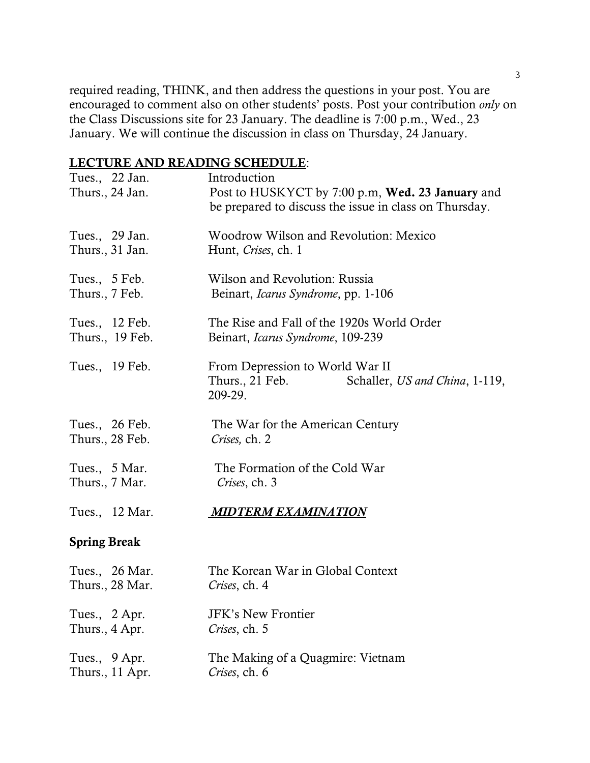required reading, THINK, and then address the questions in your post. You are encouraged to comment also on other students' posts. Post your contribution *only* on the Class Discussions site for 23 January. The deadline is 7:00 p.m., Wed., 23 January. We will continue the discussion in class on Thursday, 24 January.

# LECTURE AND READING SCHEDULE:

| Tues., 22 Jan.<br>Thurs., 24 Jan. | Introduction<br>Post to HUSKYCT by 7:00 p.m, Wed. 23 January and<br>be prepared to discuss the issue in class on Thursday. |
|-----------------------------------|----------------------------------------------------------------------------------------------------------------------------|
| Tues., 29 Jan.                    | Woodrow Wilson and Revolution: Mexico                                                                                      |
| Thurs., 31 Jan.                   | Hunt, Crises, ch. 1                                                                                                        |
| Tues., 5 Feb.                     | Wilson and Revolution: Russia                                                                                              |
| Thurs., 7 Feb.                    | Beinart, Icarus Syndrome, pp. 1-106                                                                                        |
| Tues., 12 Feb.                    | The Rise and Fall of the 1920s World Order                                                                                 |
| Thurs., 19 Feb.                   | Beinart, Icarus Syndrome, 109-239                                                                                          |
| Tues., 19 Feb.                    | From Depression to World War II<br>Thurs., 21 Feb.<br>Schaller, US and China, 1-119,<br>209-29.                            |
| Tues., 26 Feb.                    | The War for the American Century                                                                                           |
| Thurs., 28 Feb.                   | Crises, ch. 2                                                                                                              |
| Tues., 5 Mar.                     | The Formation of the Cold War                                                                                              |
| Thurs., 7 Mar.                    | Crises, ch. 3                                                                                                              |
| Tues., 12 Mar.                    | <b>MIDTERM EXAMINATION</b>                                                                                                 |
| <b>Spring Break</b>               |                                                                                                                            |
| Tues., 26 Mar.                    | The Korean War in Global Context                                                                                           |
| Thurs., 28 Mar.                   | Crises, ch. 4                                                                                                              |
| Tues., 2 Apr.                     | <b>JFK's New Frontier</b>                                                                                                  |
| Thurs., 4 Apr.                    | Crises, ch. 5                                                                                                              |
| Tues., 9 Apr.                     | The Making of a Quagmire: Vietnam                                                                                          |
| Thurs., 11 Apr.                   | Crises, ch. 6                                                                                                              |